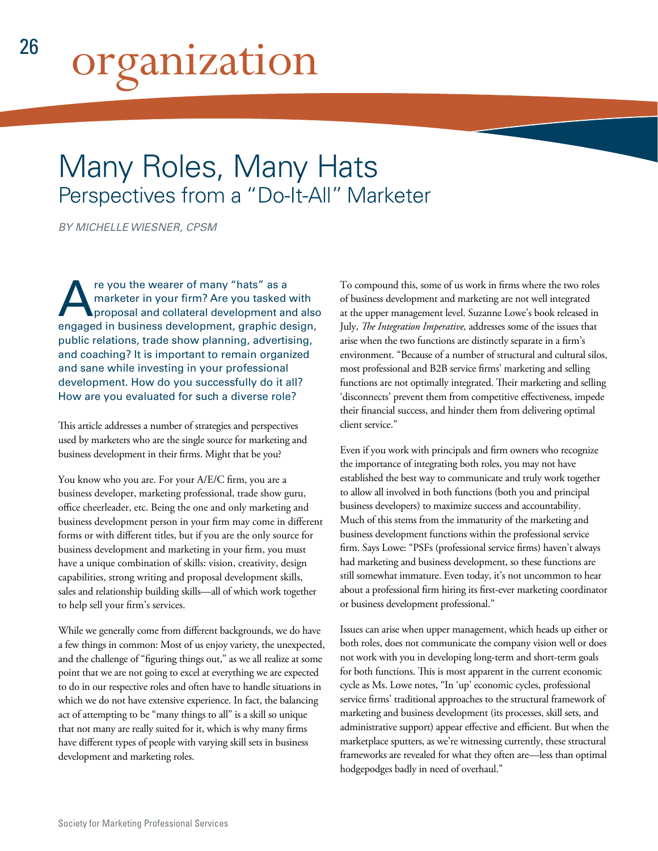# organization

# Many Roles, Many Hats Perspectives from a "Do-It-All" Marketer

*BY MICHELLE WIESNER, CPSM*

re you the wearer of many "hats" as a<br>marketer in your firm? Are you tasked<br>proposal and collateral development and<br>aparased in business development, araphic de marketer in your firm? Are you tasked with proposal and collateral development and also engaged in business development, graphic design, public relations, trade show planning, advertising, and coaching? It is important to remain organized and sane while investing in your professional development. How do you successfully do it all? How are you evaluated for such a diverse role?

This article addresses a number of strategies and perspectives used by marketers who are the single source for marketing and business development in their firms. Might that be you?

You know who you are. For your A/E/C firm, you are a business developer, marketing professional, trade show guru, office cheerleader, etc. Being the one and only marketing and business development person in your firm may come in different forms or with different titles, but if you are the only source for business development and marketing in your firm, you must have a unique combination of skills: vision, creativity, design capabilities, strong writing and proposal development skills, sales and relationship building skills—all of which work together to help sell your firm's services.

While we generally come from different backgrounds, we do have a few things in common: Most of us enjoy variety, the unexpected, and the challenge of "figuring things out," as we all realize at some point that we are not going to excel at everything we are expected to do in our respective roles and often have to handle situations in which we do not have extensive experience. In fact, the balancing act of attempting to be "many things to all" is a skill so unique that not many are really suited for it, which is why many firms have different types of people with varying skill sets in business development and marketing roles.

To compound this, some of us work in firms where the two roles of business development and marketing are not well integrated at the upper management level. Suzanne Lowe's book released in July, *The Integration Imperative,* addresses some of the issues that arise when the two functions are distinctly separate in a firm's environment. "Because of a number of structural and cultural silos, most professional and B2B service firms' marketing and selling functions are not optimally integrated. Their marketing and selling 'disconnects' prevent them from competitive effectiveness, impede their financial success, and hinder them from delivering optimal client service."

Even if you work with principals and firm owners who recognize the importance of integrating both roles, you may not have established the best way to communicate and truly work together to allow all involved in both functions (both you and principal business developers) to maximize success and accountability. Much of this stems from the immaturity of the marketing and business development functions within the professional service firm. Says Lowe: "PSFs (professional service firms) haven't always had marketing and business development, so these functions are still somewhat immature. Even today, it's not uncommon to hear about a professional firm hiring its first-ever marketing coordinator or business development professional."

Issues can arise when upper management, which heads up either or both roles, does not communicate the company vision well or does not work with you in developing long-term and short-term goals for both functions. This is most apparent in the current economic cycle as Ms. Lowe notes, "In 'up' economic cycles, professional service firms' traditional approaches to the structural framework of marketing and business development (its processes, skill sets, and administrative support) appear effective and efficient. But when the marketplace sputters, as we're witnessing currently, these structural frameworks are revealed for what they often are—less than optimal hodgepodges badly in need of overhaul."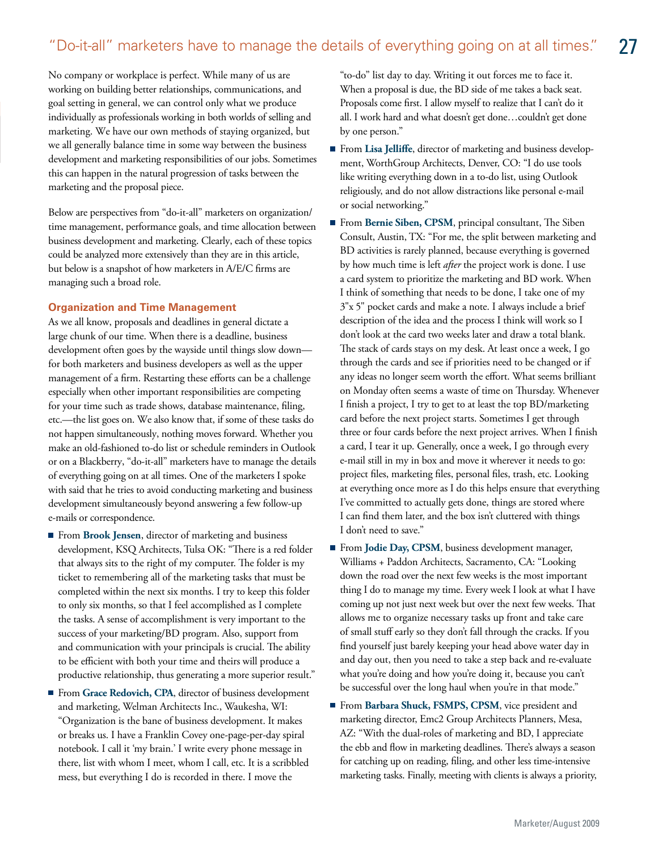## "Do-it-all" marketers have to manage the details of everything going on at all times."

No company or workplace is perfect. While many of us are working on building better relationships, communications, and goal setting in general, we can control only what we produce individually as professionals working in both worlds of selling and marketing. We have our own methods of staying organized, but we all generally balance time in some way between the business development and marketing responsibilities of our jobs. Sometimes this can happen in the natural progression of tasks between the marketing and the proposal piece.

Below are perspectives from "do-it-all" marketers on organization/ time management, performance goals, and time allocation between business development and marketing. Clearly, each of these topics could be analyzed more extensively than they are in this article, but below is a snapshot of how marketers in A/E/C firms are managing such a broad role.

#### **Organization and Time Management**

As we all know, proposals and deadlines in general dictate a large chunk of our time. When there is a deadline, business development often goes by the wayside until things slow down for both marketers and business developers as well as the upper management of a firm. Restarting these efforts can be a challenge especially when other important responsibilities are competing for your time such as trade shows, database maintenance, filing, etc.—the list goes on. We also know that, if some of these tasks do not happen simultaneously, nothing moves forward. Whether you make an old-fashioned to-do list or schedule reminders in Outlook or on a Blackberry, "do-it-all" marketers have to manage the details of everything going on at all times. One of the marketers I spoke with said that he tries to avoid conducting marketing and business development simultaneously beyond answering a few follow-up e-mails or correspondence.

- From **Brook Jensen**, director of marketing and business development, KSQ Architects, Tulsa OK: "There is a red folder that always sits to the right of my computer. The folder is my ticket to remembering all of the marketing tasks that must be completed within the next six months. I try to keep this folder to only six months, so that I feel accomplished as I complete the tasks. A sense of accomplishment is very important to the success of your marketing/BD program. Also, support from and communication with your principals is crucial. The ability to be efficient with both your time and theirs will produce a productive relationship, thus generating a more superior result."
- From Grace Redovich, CPA, director of business development and marketing, Welman Architects Inc., Waukesha, WI: "Organization is the bane of business development. It makes or breaks us. I have a Franklin Covey one-page-per-day spiral notebook. I call it 'my brain.' I write every phone message in there, list with whom I meet, whom I call, etc. It is a scribbled mess, but everything I do is recorded in there. I move the

"to-do" list day to day. Writing it out forces me to face it. When a proposal is due, the BD side of me takes a back seat. Proposals come first. I allow myself to realize that I can't do it all. I work hard and what doesn't get done…couldn't get done by one person."

27

- From **Lisa Jelliffe**, director of marketing and business development, WorthGroup Architects, Denver, CO: "I do use tools like writing everything down in a to-do list, using Outlook religiously, and do not allow distractions like personal e-mail or social networking."
- ٦ From **Bernie Siben, CPSM**, principal consultant, The Siben Consult, Austin, TX: "For me, the split between marketing and BD activities is rarely planned, because everything is governed by how much time is left *after* the project work is done. I use a card system to prioritize the marketing and BD work. When I think of something that needs to be done, I take one of my 3"x 5" pocket cards and make a note. I always include a brief description of the idea and the process I think will work so I don't look at the card two weeks later and draw a total blank. The stack of cards stays on my desk. At least once a week, I go through the cards and see if priorities need to be changed or if any ideas no longer seem worth the effort. What seems brilliant on Monday often seems a waste of time on Thursday. Whenever I finish a project, I try to get to at least the top BD/marketing card before the next project starts. Sometimes I get through three or four cards before the next project arrives. When I finish a card, I tear it up. Generally, once a week, I go through every e-mail still in my in box and move it wherever it needs to go: project files, marketing files, personal files, trash, etc. Looking at everything once more as I do this helps ensure that everything I've committed to actually gets done, things are stored where I can find them later, and the box isn't cluttered with things I don't need to save."
- From Jodie Day, CPSM, business development manager, Williams + Paddon Architects, Sacramento, CA: "Looking down the road over the next few weeks is the most important thing I do to manage my time. Every week I look at what I have coming up not just next week but over the next few weeks. That allows me to organize necessary tasks up front and take care of small stuff early so they don't fall through the cracks. If you find yourself just barely keeping your head above water day in and day out, then you need to take a step back and re-evaluate what you're doing and how you're doing it, because you can't be successful over the long haul when you're in that mode."
- From **Barbara Shuck, FSMPS, CPSM**, vice president and marketing director, Emc2 Group Architects Planners, Mesa, AZ: "With the dual-roles of marketing and BD, I appreciate the ebb and flow in marketing deadlines. There's always a season for catching up on reading, filing, and other less time-intensive marketing tasks. Finally, meeting with clients is always a priority,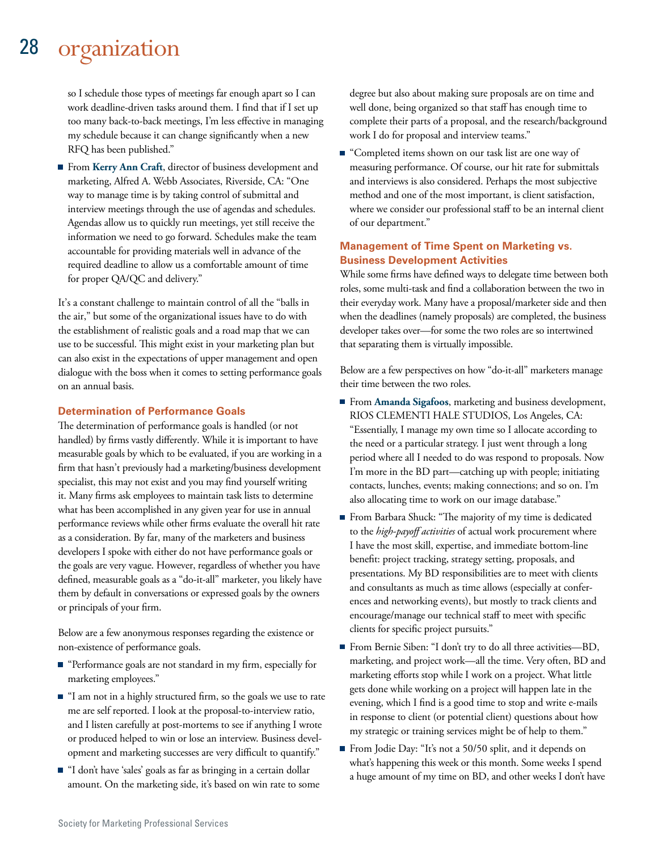#### 28 organization

so I schedule those types of meetings far enough apart so I can work deadline-driven tasks around them. I find that if I set up too many back-to-back meetings, I'm less effective in managing my schedule because it can change significantly when a new RFQ has been published."

From **Kerry Ann Craft**, director of business development and marketing, Alfred A. Webb Associates, Riverside, CA: "One way to manage time is by taking control of submittal and interview meetings through the use of agendas and schedules. Agendas allow us to quickly run meetings, yet still receive the information we need to go forward. Schedules make the team accountable for providing materials well in advance of the required deadline to allow us a comfortable amount of time for proper QA/QC and delivery."

It's a constant challenge to maintain control of all the "balls in the air," but some of the organizational issues have to do with the establishment of realistic goals and a road map that we can use to be successful. This might exist in your marketing plan but can also exist in the expectations of upper management and open dialogue with the boss when it comes to setting performance goals on an annual basis.

#### **Determination of Performance Goals**

The determination of performance goals is handled (or not handled) by firms vastly differently. While it is important to have measurable goals by which to be evaluated, if you are working in a firm that hasn't previously had a marketing/business development specialist, this may not exist and you may find yourself writing it. Many firms ask employees to maintain task lists to determine what has been accomplished in any given year for use in annual performance reviews while other firms evaluate the overall hit rate as a consideration. By far, many of the marketers and business developers I spoke with either do not have performance goals or the goals are very vague. However, regardless of whether you have defined, measurable goals as a "do-it-all" marketer, you likely have them by default in conversations or expressed goals by the owners or principals of your firm.

Below are a few anonymous responses regarding the existence or non-existence of performance goals.

- "Performance goals are not standard in my firm, especially for marketing employees."
- "I am not in a highly structured firm, so the goals we use to rate me are self reported. I look at the proposal-to-interview ratio, and I listen carefully at post-mortems to see if anything I wrote or produced helped to win or lose an interview. Business development and marketing successes are very difficult to quantify."
- "I don't have 'sales' goals as far as bringing in a certain dollar amount. On the marketing side, it's based on win rate to some

degree but also about making sure proposals are on time and well done, being organized so that staff has enough time to complete their parts of a proposal, and the research/background work I do for proposal and interview teams."

■ "Completed items shown on our task list are one way of measuring performance. Of course, our hit rate for submittals and interviews is also considered. Perhaps the most subjective method and one of the most important, is client satisfaction, where we consider our professional staff to be an internal client of our department."

#### **Management of Time Spent on Marketing vs. Business Development Activities**

While some firms have defined ways to delegate time between both roles, some multi-task and find a collaboration between the two in their everyday work. Many have a proposal/marketer side and then when the deadlines (namely proposals) are completed, the business developer takes over—for some the two roles are so intertwined that separating them is virtually impossible.

Below are a few perspectives on how "do-it-all" marketers manage their time between the two roles.

- From **Amanda Sigafoos**, marketing and business development, RIOS CLEMENTI HALE STUDIOS, Los Angeles, CA: "Essentially, I manage my own time so I allocate according to the need or a particular strategy. I just went through a long period where all I needed to do was respond to proposals. Now I'm more in the BD part—catching up with people; initiating contacts, lunches, events; making connections; and so on. I'm also allocating time to work on our image database."
- From Barbara Shuck: "The majority of my time is dedicated to the *high-payoff activities* of actual work procurement where I have the most skill, expertise, and immediate bottom-line benefit: project tracking, strategy setting, proposals, and presentations. My BD responsibilities are to meet with clients and consultants as much as time allows (especially at conferences and networking events), but mostly to track clients and encourage/manage our technical staff to meet with specific clients for specific project pursuits."
- From Bernie Siben: "I don't try to do all three activities—BD, marketing, and project work—all the time. Very often, BD and marketing efforts stop while I work on a project. What little gets done while working on a project will happen late in the evening, which I find is a good time to stop and write e-mails in response to client (or potential client) questions about how my strategic or training services might be of help to them."
- From Jodie Day: "It's not a 50/50 split, and it depends on what's happening this week or this month. Some weeks I spend a huge amount of my time on BD, and other weeks I don't have